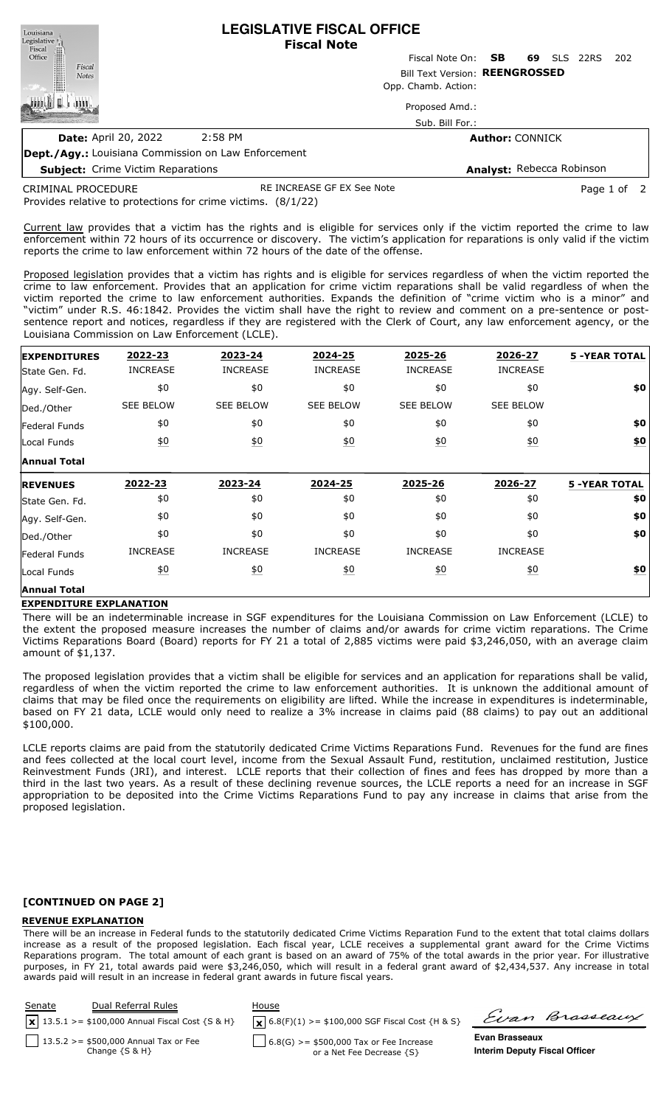**LEGISLATIVE FISCAL OFFICE** Louisiana Legislative <sub>[1]</sub> **Fiscal Note** Fiscal Office Fiscal Note On: **SB 69** SLS 22RS 202 Fiscal Bill Text Version: **REENGROSSED Notes** Opp. Chamb. Action: L Proposed Amd.: Sub. Bill For.: **Date:** April 20, 2022 2:58 PM **Author:** CONNICK

**Subject:** Crime Victim Reparations

**Dept./Agy.:** Louisiana Commission on Law Enforcement

**Analyst:** Rebecca Robinson

CRIMINAL PROCEDURE

RE INCREASE GF EX See Note **Page 1 of 2** 

Provides relative to protections for crime victims. (8/1/22)

Current law provides that a victim has the rights and is eligible for services only if the victim reported the crime to law enforcement within 72 hours of its occurrence or discovery. The victim's application for reparations is only valid if the victim reports the crime to law enforcement within 72 hours of the date of the offense.

Proposed legislation provides that a victim has rights and is eligible for services regardless of when the victim reported the crime to law enforcement. Provides that an application for crime victim reparations shall be valid regardless of when the victim reported the crime to law enforcement authorities. Expands the definition of "crime victim who is a minor" and "victim" under R.S. 46:1842. Provides the victim shall have the right to review and comment on a pre-sentence or postsentence report and notices, regardless if they are registered with the Clerk of Court, any law enforcement agency, or the Louisiana Commission on Law Enforcement (LCLE).

| <b>EXPENDITURES</b>  | 2022-23          | 2023-24           | 2024-25          | 2025-26          | 2026-27          | <b>5 -YEAR TOTAL</b> |
|----------------------|------------------|-------------------|------------------|------------------|------------------|----------------------|
| State Gen. Fd.       | <b>INCREASE</b>  | <b>INCREASE</b>   | <b>INCREASE</b>  | <b>INCREASE</b>  | <b>INCREASE</b>  |                      |
| Agy. Self-Gen.       | \$0              | \$0               | \$0              | \$0              | \$0              | \$0                  |
| Ded./Other           | <b>SEE BELOW</b> | <b>SEE BELOW</b>  | <b>SEE BELOW</b> | <b>SEE BELOW</b> | <b>SEE BELOW</b> |                      |
| <b>Federal Funds</b> | \$0              | \$0               | \$0              | \$0              | \$0              | \$0                  |
| Local Funds          | 60               | $\underline{50}$  | 60               | 60               | $\underline{40}$ | \$0                  |
| <b>Annual Total</b>  |                  |                   |                  |                  |                  |                      |
|                      |                  |                   |                  |                  |                  |                      |
| <b>REVENUES</b>      | 2022-23          | 2023-24           | 2024-25          | 2025-26          | 2026-27          | <b>5 -YEAR TOTAL</b> |
| State Gen. Fd.       | \$0              | \$0               | \$0              | \$0              | \$0              | \$0                  |
| Agy. Self-Gen.       | \$0              | \$0               | \$0              | \$0              | \$0              | \$0                  |
| Ded./Other           | \$0              | \$0               | \$0              | \$0              | \$0              | \$0                  |
| <b>Federal Funds</b> | <b>INCREASE</b>  | <b>INCREASE</b>   | <b>INCREASE</b>  | <b>INCREASE</b>  | <b>INCREASE</b>  |                      |
| Local Funds          | $\underline{50}$ | $\underline{\$0}$ | 60               | 60               | $\underline{40}$ | \$0                  |

### **EXPENDITURE EXPLANATION**

There will be an indeterminable increase in SGF expenditures for the Louisiana Commission on Law Enforcement (LCLE) to the extent the proposed measure increases the number of claims and/or awards for crime victim reparations. The Crime Victims Reparations Board (Board) reports for FY 21 a total of 2,885 victims were paid \$3,246,050, with an average claim amount of \$1,137.

The proposed legislation provides that a victim shall be eligible for services and an application for reparations shall be valid, regardless of when the victim reported the crime to law enforcement authorities. It is unknown the additional amount of claims that may be filed once the requirements on eligibility are lifted. While the increase in expenditures is indeterminable, based on FY 21 data, LCLE would only need to realize a 3% increase in claims paid (88 claims) to pay out an additional \$100,000.

LCLE reports claims are paid from the statutorily dedicated Crime Victims Reparations Fund. Revenues for the fund are fines and fees collected at the local court level, income from the Sexual Assault Fund, restitution, unclaimed restitution, Justice Reinvestment Funds (JRI), and interest. LCLE reports that their collection of fines and fees has dropped by more than a third in the last two years. As a result of these declining revenue sources, the LCLE reports a need for an increase in SGF appropriation to be deposited into the Crime Victims Reparations Fund to pay any increase in claims that arise from the proposed legislation.

### **[CONTINUED ON PAGE 2]**

### **REVENUE EXPLANATION**

There will be an increase in Federal funds to the statutorily dedicated Crime Victims Reparation Fund to the extent that total claims dollars increase as a result of the proposed legislation. Each fiscal year, LCLE receives a supplemental grant award for the Crime Victims Reparations program. The total amount of each grant is based on an award of 75% of the total awards in the prior year. For illustrative purposes, in FY 21, total awards paid were \$3,246,050, which will result in a federal grant award of \$2,434,537. Any increase in total awards paid will result in an increase in federal grant awards in future fiscal years.